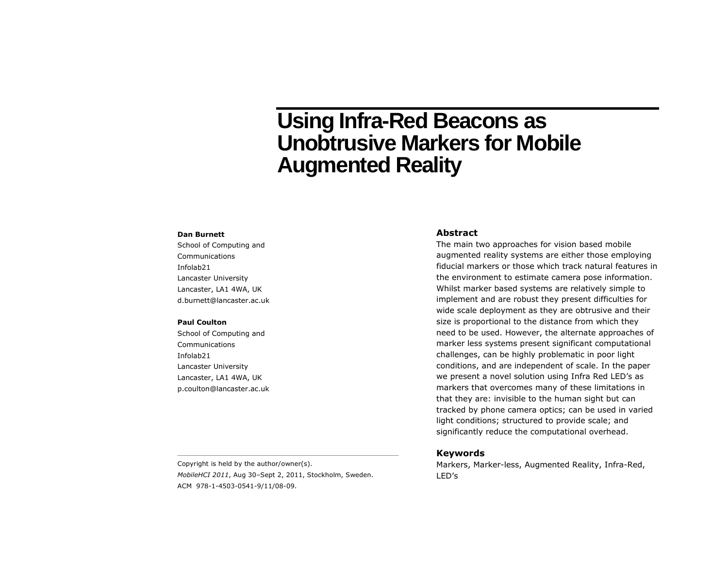# **Using Infra-Red Beacons as Unobtrusive Markers for Mobile Augmented Reality**

#### **Dan Burnett**

School of Computing and Communications Infolab21 Lancaster University Lancaster, LA1 4WA, UK d.burnett@lancaster.ac.uk

#### **Paul Coulton**

School of Computing and Communications Infolab21 Lancaster University Lancaster, LA1 4WA, UK p.coulton@lancaster.ac.uk

# **Abstract**

The main two approaches for vision based mobile augmented reality systems are either those employing fiducial markers or those which track natural features in the environment to estimate camera pose information. Whilst marker based systems are relatively simple to implement and are robust they present difficulties for wide scale deployment as they are obtrusive and their size is proportional to the distance from which they need to be used. However, the alternate approaches of marker less systems present significant computational challenges, can be highly problematic in poor light conditions, and are independent of scale. In the paper we present a novel solution using Infra Red LED's as markers that overcomes many of these limitations in that they are: invisible to the human sight but can tracked by phone camera optics; can be used in varied light conditions; structured to provide scale; and significantly reduce the computational overhead.

### **Keywords**

Markers, Marker-less, Augmented Reality, Infra-Red, LED's

Copyright is held by the author/owner(s). *MobileHCI 2011*, Aug 30–Sept 2, 2011, Stockholm, Sweden. ACM 978-1-4503-0541-9/11/08-09.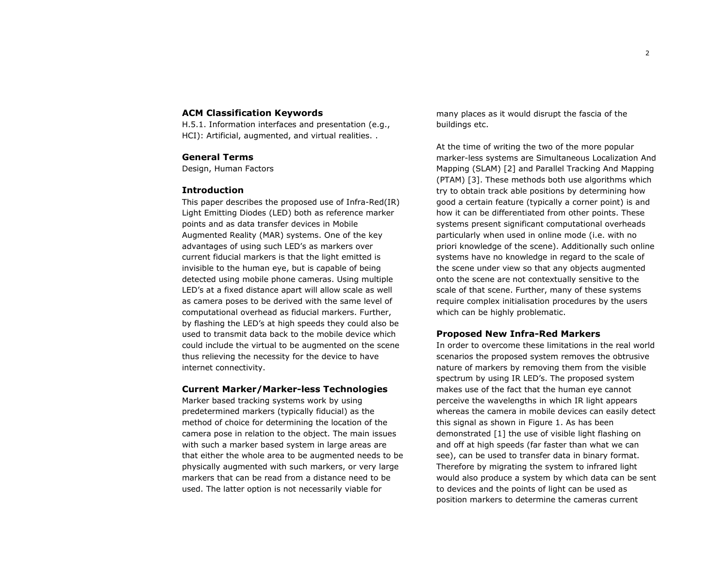# **ACM Classification Keywords**

H.5.1. Information interfaces and presentation (e.g., HCI): Artificial, augmented, and virtual realities. .

# **General Terms**

Design, Human Factors

## **Introduction**

This paper describes the proposed use of Infra-Red(IR) Light Emitting Diodes (LED) both as reference marker points and as data transfer devices in Mobile Augmented Reality (MAR) systems. One of the key advantages of using such LED's as markers over current fiducial markers is that the light emitted is invisible to the human eye, but is capable of being detected using mobile phone cameras. Using multiple LED's at a fixed distance apart will allow scale as well as camera poses to be derived with the same level of computational overhead as fiducial markers. Further, by flashing the LED's at high speeds they could also be used to transmit data back to the mobile device which could include the virtual to be augmented on the scene thus relieving the necessity for the device to have internet connectivity.

## **Current Marker/Marker-less Technologies**

Marker based tracking systems work by using predetermined markers (typically fiducial) as the method of choice for determining the location of the camera pose in relation to the object. The main issues with such a marker based system in large areas are that either the whole area to be augmented needs to be physically augmented with such markers, or very large markers that can be read from a distance need to be used. The latter option is not necessarily viable for

many places as it would disrupt the fascia of the buildings etc.

At the time of writing the two of the more popular marker-less systems are Simultaneous Localization And Mapping (SLAM) [2] and Parallel Tracking And Mapping (PTAM) [3]. These methods both use algorithms which try to obtain track able positions by determining how good a certain feature (typically a corner point) is and how it can be differentiated from other points. These systems present significant computational overheads particularly when used in online mode (i.e. with no priori knowledge of the scene). Additionally such online systems have no knowledge in regard to the scale of the scene under view so that any objects augmented onto the scene are not contextually sensitive to the scale of that scene. Further, many of these systems require complex initialisation procedures by the users which can be highly problematic.

# **Proposed New Infra-Red Markers**

In order to overcome these limitations in the real world scenarios the proposed system removes the obtrusive nature of markers by removing them from the visible spectrum by using IR LED's. The proposed system makes use of the fact that the human eye cannot perceive the wavelengths in which IR light appears whereas the camera in mobile devices can easily detect this signal as shown in Figure 1. As has been demonstrated [1] the use of visible light flashing on and off at high speeds (far faster than what we can see), can be used to transfer data in binary format. Therefore by migrating the system to infrared light would also produce a system by which data can be sent to devices and the points of light can be used as position markers to determine the cameras current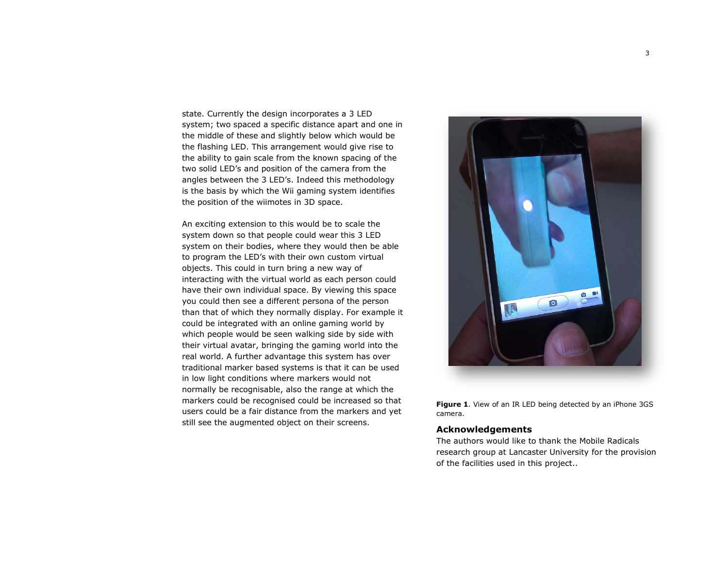state. Currently the design incorporates a 3 LED system; two spaced a specific distance apart and one in the middle of these and slightly below which would be the flashing LED. This arrangement would give rise to the ability to gain scale from the known spacing of the two solid LED's and position of the camera from the angles between the 3 LED's. Indeed this methodology is the basis by which the Wii gaming system identifies the position of the wiimotes in 3D space.

An exciting extension to this would be to scale the system down so that people could wear this 3 LED system on their bodies, where they would then be able to program the LED's with their own custom virtual objects. This could in turn bring a new way of interacting with the virtual world as each person could have their own individual space. By viewing this space you could then see a different persona of the person than that of which they normally display. For example it could be integrated with an online gaming world by which people would be seen walking side by side with their virtual avatar, bringing the gaming world into the real world. A further advantage this system has over traditional marker based systems is that it can be used in low light conditions where markers would not normally be recognisable, also the range at which the markers could be recognised could be increased so that users could be a fair distance from the markers and yet still see the augmented object on their screens.



**Figure 1**. View of an IR LED being detected by an iPhone 3GS camera.

## **Acknowledgements**

The authors would like to thank the Mobile Radicals research group at Lancaster University for the provision of the facilities used in this project..